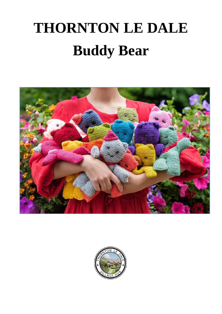# **THORNTON LE DALE Buddy Bear**



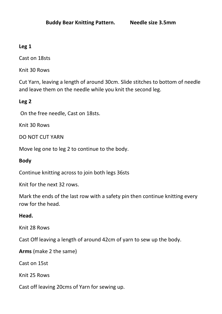# **Leg 1**

Cast on 18sts

Knit 30 Rows

Cut Yarn, leaving a length of around 30cm. Slide stitches to bottom of needle and leave them on the needle while you knit the second leg.

## **Leg 2**

On the free needle, Cast on 18sts.

Knit 30 Rows

DO NOT CUT YARN

Move leg one to leg 2 to continue to the body.

## **Body**

Continue knitting across to join both legs 36sts

Knit for the next 32 rows.

Mark the ends of the last row with a safety pin then continue knitting every row for the head.

### **Head.**

Knit 28 Rows

Cast Off leaving a length of around 42cm of yarn to sew up the body.

**Arms** (make 2 the same)

Cast on 15st

Knit 25 Rows

Cast off leaving 20cms of Yarn for sewing up.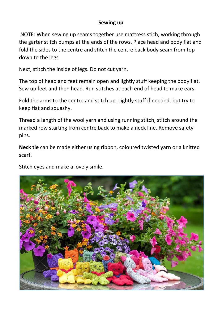### **Sewing up**

NOTE: When sewing up seams together use mattress stich, working through the garter stitch bumps at the ends of the rows. Place head and body flat and fold the sides to the centre and stitch the centre back body seam from top down to the legs

Next, stitch the inside of legs. Do not cut yarn.

The top of head and feet remain open and lightly stuff keeping the body flat. Sew up feet and then head. Run stitches at each end of head to make ears.

Fold the arms to the centre and stitch up. Lightly stuff if needed, but try to keep flat and squashy.

Thread a length of the wool yarn and using running stitch, stitch around the marked row starting from centre back to make a neck line. Remove safety pins.

**Neck tie** can be made either using ribbon, coloured twisted yarn or a knitted scarf.

Stitch eyes and make a lovely smile.